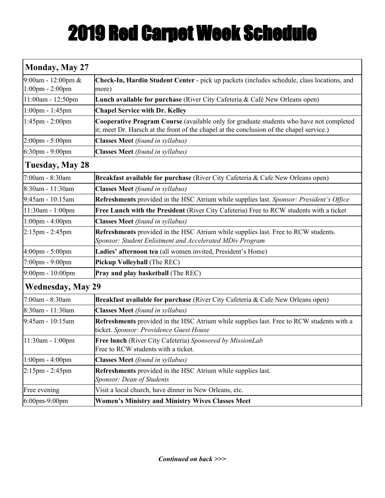## 2019 Red Carpet Week Schedule

| <b>Monday, May 27</b>                   |                                                                                                                                                                                     |  |  |  |
|-----------------------------------------|-------------------------------------------------------------------------------------------------------------------------------------------------------------------------------------|--|--|--|
| 9:00am - 12:00pm $&$<br>1:00pm - 2:00pm | Check-In, Hardin Student Center - pick up packets (includes schedule, class locations, and<br>more)                                                                                 |  |  |  |
| 11:00am - 12:50pm                       | Lunch available for purchase (River City Cafeteria & Café New Orleans open)                                                                                                         |  |  |  |
| $1:00$ pm - $1:45$ pm                   | <b>Chapel Service with Dr. Kelley</b>                                                                                                                                               |  |  |  |
| $1:45$ pm - 2:00pm                      | Cooperative Program Course (available only for graduate students who have not completed<br>it; meet Dr. Harsch at the front of the chapel at the conclusion of the chapel service.) |  |  |  |
| $2:00 \text{pm} - 5:00 \text{pm}$       | <b>Classes Meet</b> (found in syllabus)                                                                                                                                             |  |  |  |
| $6:30$ pm - 9:00pm                      | <b>Classes Meet</b> (found in syllabus)                                                                                                                                             |  |  |  |
| <b>Tuesday, May 28</b>                  |                                                                                                                                                                                     |  |  |  |
| 7:00am - 8:30am                         | Breakfast available for purchase (River City Cafeteria & Cafe New Orleans open)                                                                                                     |  |  |  |
| 8:30am - 11:30am                        | <b>Classes Meet</b> (found in syllabus)                                                                                                                                             |  |  |  |
| 9:45am - 10:15am                        | Refreshments provided in the HSC Atrium while supplies last. Sponsor: President's Office                                                                                            |  |  |  |
| 11:30am - 1:00pm                        | Free Lunch with the President (River City Cafeteria) Free to RCW students with a ticket                                                                                             |  |  |  |
| $1:00$ pm - $4:00$ pm                   | <b>Classes Meet</b> (found in syllabus)                                                                                                                                             |  |  |  |
| $2:15$ pm - 2:45pm                      | Refreshments provided in the HSC Atrium while supplies last. Free to RCW students.<br>Sponsor: Student Enlistment and Accelerated MDiv Program                                      |  |  |  |
| 4:00pm - 5:00pm                         | Ladies' afternoon tea (all women invited, President's Home)                                                                                                                         |  |  |  |
| 7:00pm - 9:00pm                         | Pickup Volleyball (The REC)                                                                                                                                                         |  |  |  |
| $9:00 \text{pm} - 10:00 \text{pm}$      | Pray and play basketball (The REC)                                                                                                                                                  |  |  |  |
| <b>Wednesday, May 29</b>                |                                                                                                                                                                                     |  |  |  |
| 7:00am - 8:30am                         | Breakfast available for purchase (River City Cafeteria & Cafe New Orleans open)                                                                                                     |  |  |  |
| 8:30am - 11:30am                        | <b>Classes Meet</b> (found in syllabus)                                                                                                                                             |  |  |  |
| 9:45am - 10:15am                        | Refreshments provided in the HSC Atrium while supplies last. Free to RCW students with a<br>ticket. Sponsor: Providence Guest House                                                 |  |  |  |
| $11:30am - 1:00pm$                      | Free lunch (River City Cafeteria) Sponsored by MissionLab<br>Free to RCW students with a ticket.                                                                                    |  |  |  |
| $1:00 \text{pm} - 4:00 \text{pm}$       | <b>Classes Meet</b> (found in syllabus)                                                                                                                                             |  |  |  |
| $2:15 \text{pm} - 2:45 \text{pm}$       | Refreshments provided in the HSC Atrium while supplies last.<br>Sponsor: Dean of Students                                                                                           |  |  |  |
| Free evening                            | Visit a local church, have dinner in New Orleans, etc.                                                                                                                              |  |  |  |
| 6:00pm-9:00pm                           | <b>Women's Ministry and Ministry Wives Classes Meet</b>                                                                                                                             |  |  |  |